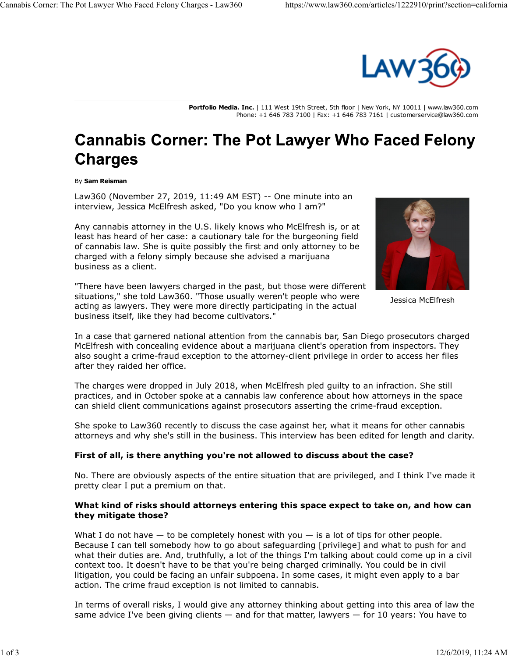

**Portfolio Media. Inc.** | 111 West 19th Street, 5th floor | New York, NY 10011 | www.law360.com Phone: +1 646 783 7100 | Fax: +1 646 783 7161 | customerservice@law360.com

# **Cannabis Corner: The Pot Lawyer Who Faced Felony Charges**

#### By **Sam Reisman**

Law360 (November 27, 2019, 11:49 AM EST) -- One minute into an interview, Jessica McElfresh asked, "Do you know who I am?"

Any cannabis attorney in the U.S. likely knows who McElfresh is, or at least has heard of her case: a cautionary tale for the burgeoning field of cannabis law. She is quite possibly the first and only attorney to be charged with a felony simply because she advised a marijuana business as a client.



Jessica McElfresh

"There have been lawyers charged in the past, but those were different situations," she told Law360. "Those usually weren't people who were acting as lawyers. They were more directly participating in the actual business itself, like they had become cultivators."

In a case that garnered national attention from the cannabis bar, San Diego prosecutors charged McElfresh with concealing evidence about a marijuana client's operation from inspectors. They also sought a crime-fraud exception to the attorney-client privilege in order to access her files after they raided her office.

The charges were dropped in July 2018, when McElfresh pled guilty to an infraction. She still practices, and in October spoke at a cannabis law conference about how attorneys in the space can shield client communications against prosecutors asserting the crime-fraud exception.

She spoke to Law360 recently to discuss the case against her, what it means for other cannabis attorneys and why she's still in the business. This interview has been edited for length and clarity.

#### **First of all, is there anything you're not allowed to discuss about the case?**

No. There are obviously aspects of the entire situation that are privileged, and I think I've made it pretty clear I put a premium on that.

#### **What kind of risks should attorneys entering this space expect to take on, and how can they mitigate those?**

What I do not have  $-$  to be completely honest with you  $-$  is a lot of tips for other people. Because I can tell somebody how to go about safeguarding [privilege] and what to push for and what their duties are. And, truthfully, a lot of the things I'm talking about could come up in a civil context too. It doesn't have to be that you're being charged criminally. You could be in civil litigation, you could be facing an unfair subpoena. In some cases, it might even apply to a bar action. The crime fraud exception is not limited to cannabis.

In terms of overall risks, I would give any attorney thinking about getting into this area of law the same advice I've been giving clients  $-$  and for that matter, lawyers  $-$  for 10 years: You have to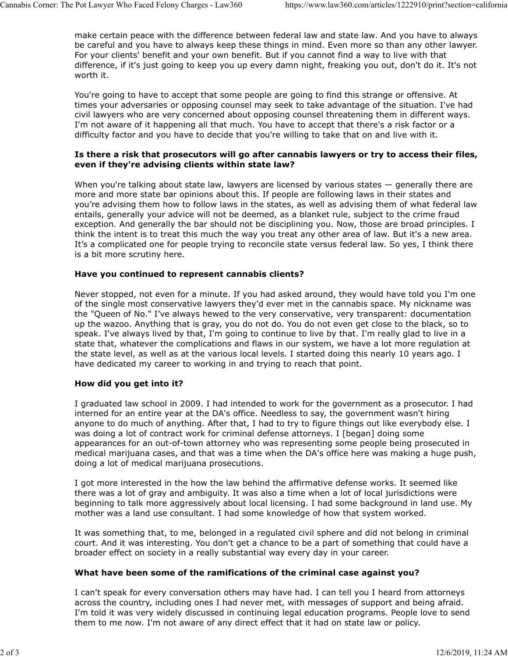make certain peace with the difference between federal law and state law. And you have to always be careful and you have to always keep these things in mind. Even more so than any other lawyer. For your clients' benefit and your own benefit. But if you cannot find a way to live with that difference, if it's just going to keep you up every damn night, freaking you out, don't do it. It's not worth it.

You're going to have to accept that some people are going to find this strange or offensive. At times your adversaries or opposing counsel may seek to take advantage of the situation. I've had civil lawyers who are very concerned about opposing counsel threatening them in different ways. I'm not aware of it happening all that much. You have to accept that there's a risk factor or a difficulty factor and you have to decide that you're willing to take that on and live with it.

### **Is there a risk that prosecutors will go after cannabis lawyers or try to access their files, even if they're advising clients within state law?**

When you're talking about state law, lawyers are licensed by various states — generally there are more and more state bar opinions about this. If people are following laws in their states and you're advising them how to follow laws in the states, as well as advising them of what federal law entails, generally your advice will not be deemed, as a blanket rule, subject to the crime fraud exception. And generally the bar should not be disciplining you. Now, those are broad principles. I think the intent is to treat this much the way you treat any other area of law. But it's a new area. It's a complicated one for people trying to reconcile state versus federal law. So yes, I think there is a bit more scrutiny here.

# **Have you continued to represent cannabis clients?**

Never stopped, not even for a minute. If you had asked around, they would have told you I'm one of the single most conservative lawyers they'd ever met in the cannabis space. My nickname was the "Queen of No." I've always hewed to the very conservative, very transparent: documentation up the wazoo. Anything that is gray, you do not do. You do not even get close to the black, so to speak. I've always lived by that, I'm going to continue to live by that. I'm really glad to live in a state that, whatever the complications and flaws in our system, we have a lot more regulation at the state level, as well as at the various local levels. I started doing this nearly 10 years ago. I have dedicated my career to working in and trying to reach that point.

# **How did you get into it?**

I graduated law school in 2009. I had intended to work for the government as a prosecutor. I had interned for an entire year at the DA's office. Needless to say, the government wasn't hiring anyone to do much of anything. After that, I had to try to figure things out like everybody else. I was doing a lot of contract work for criminal defense attorneys. I [began] doing some appearances for an out-of-town attorney who was representing some people being prosecuted in medical marijuana cases, and that was a time when the DA's office here was making a huge push, doing a lot of medical marijuana prosecutions.

I got more interested in the how the law behind the affirmative defense works. It seemed like there was a lot of gray and ambiguity. It was also a time when a lot of local jurisdictions were beginning to talk more aggressively about local licensing. I had some background in land use. My mother was a land use consultant. I had some knowledge of how that system worked.

It was something that, to me, belonged in a regulated civil sphere and did not belong in criminal court. And it was interesting. You don't get a chance to be a part of something that could have a broader effect on society in a really substantial way every day in your career.

# **What have been some of the ramifications of the criminal case against you?**

I can't speak for every conversation others may have had. I can tell you I heard from attorneys across the country, including ones I had never met, with messages of support and being afraid. I'm told it was very widely discussed in continuing legal education programs. People love to send them to me now. I'm not aware of any direct effect that it had on state law or policy.